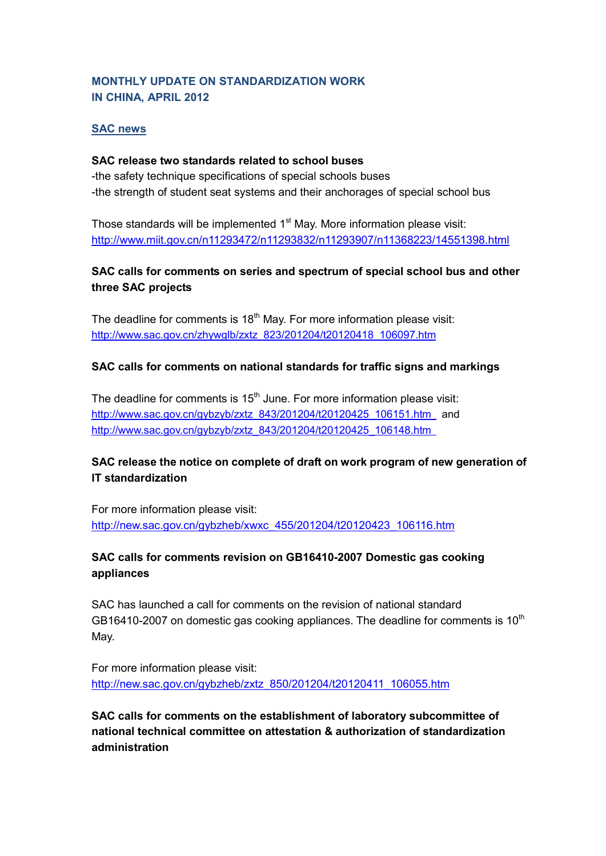## **MONTHLY UPDATE ON STANDARDIZATION WORK IN CHINA, APRIL 2012**

### **SAC news**

#### **SAC release two standards related to school buses**

-the safety technique specifications of special schools buses -the strength of student seat systems and their anchorages of special school bus

Those standards will be implemented 1<sup>st</sup> May. More information please visit: <http://www.miit.gov.cn/n11293472/n11293832/n11293907/n11368223/14551398.html>

## **SAC calls for comments on series and spectrum of special school bus and other three SAC projects**

The deadline for comments is  $18<sup>th</sup>$  May. For more information please visit: [http://www.sac.gov.cn/zhywglb/zxtz\\_823/201204/t20120418\\_106097.htm](http://www.sac.gov.cn/zhywglb/zxtz_823/201204/t20120418_106097.htm)

### **SAC calls for comments on national standards for traffic signs and markings**

The deadline for comments is  $15<sup>th</sup>$  June. For more information please visit: [http://www.sac.gov.cn/gybzyb/zxtz\\_843/201204/t20120425\\_106151.htm](http://www.sac.gov.cn/gybzyb/zxtz_843/201204/t20120425_106151.htm) and [http://www.sac.gov.cn/gybzyb/zxtz\\_843/201204/t20120425\\_106148.htm](http://www.sac.gov.cn/gybzyb/zxtz_843/201204/t20120425_106148.htm) 

## **SAC release the notice on complete of draft on work program of new generation of IT standardization**

For more information please visit: [http://new.sac.gov.cn/gybzheb/xwxc\\_455/201204/t20120423\\_106116.htm](http://new.sac.gov.cn/gybzheb/xwxc_455/201204/t20120423_106116.htm)

## **SAC calls for comments revision on GB16410-2007 Domestic gas cooking appliances**

SAC has launched a call for comments on the revision of national standard GB16410-2007 on domestic gas cooking appliances. The deadline for comments is  $10<sup>th</sup>$ May.

For more information please visit: [http://new.sac.gov.cn/gybzheb/zxtz\\_850/201204/t20120411\\_106055.htm](http://new.sac.gov.cn/gybzheb/zxtz_850/201204/t20120411_106055.htm)

**SAC calls for comments on the establishment of laboratory subcommittee of national technical committee on attestation & authorization of standardization administration**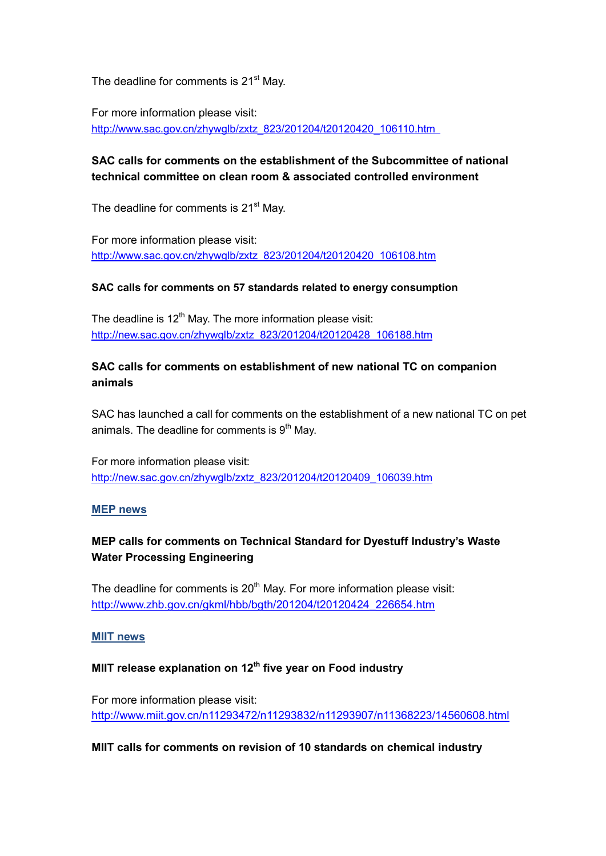The deadline for comments is 21<sup>st</sup> May.

For more information please visit: [http://www.sac.gov.cn/zhywglb/zxtz\\_823/201204/t20120420\\_106110.htm](http://www.sac.gov.cn/zhywglb/zxtz_823/201204/t20120420_106110.htm) 

## **SAC calls for comments on the establishment of the Subcommittee of national technical committee on clean room & associated controlled environment**

The deadline for comments is 21<sup>st</sup> May.

For more information please visit: [http://www.sac.gov.cn/zhywglb/zxtz\\_823/201204/t20120420\\_106108.htm](http://www.sac.gov.cn/zhywglb/zxtz_823/201204/t20120420_106108.htm)

#### **SAC calls for comments on 57 standards related to energy consumption**

The deadline is  $12<sup>th</sup>$  May. The more information please visit: [http://new.sac.gov.cn/zhywglb/zxtz\\_823/201204/t20120428\\_106188.htm](http://new.sac.gov.cn/zhywglb/zxtz_823/201204/t20120428_106188.htm)

## **SAC calls for comments on establishment of new national TC on companion animals**

SAC has launched a call for comments on the establishment of a new national TC on pet animals. The deadline for comments is  $9<sup>th</sup>$  May.

For more information please visit: [http://new.sac.gov.cn/zhywglb/zxtz\\_823/201204/t20120409\\_106039.htm](http://new.sac.gov.cn/zhywglb/zxtz_823/201204/t20120409_106039.htm)

#### **MEP news**

## **MEP calls for comments on Technical Standard for Dyestuff Industry's Waste Water Processing Engineering**

The deadline for comments is  $20<sup>th</sup>$  May. For more information please visit: [http://www.zhb.gov.cn/gkml/hbb/bgth/201204/t20120424\\_226654.htm](http://www.zhb.gov.cn/gkml/hbb/bgth/201204/t20120424_226654.htm)

#### **MIIT news**

# **MIIT release explanation on 12th five year on Food industry**

For more information please visit: <http://www.miit.gov.cn/n11293472/n11293832/n11293907/n11368223/14560608.html>

#### **MIIT calls for comments on revision of 10 standards on chemical industry**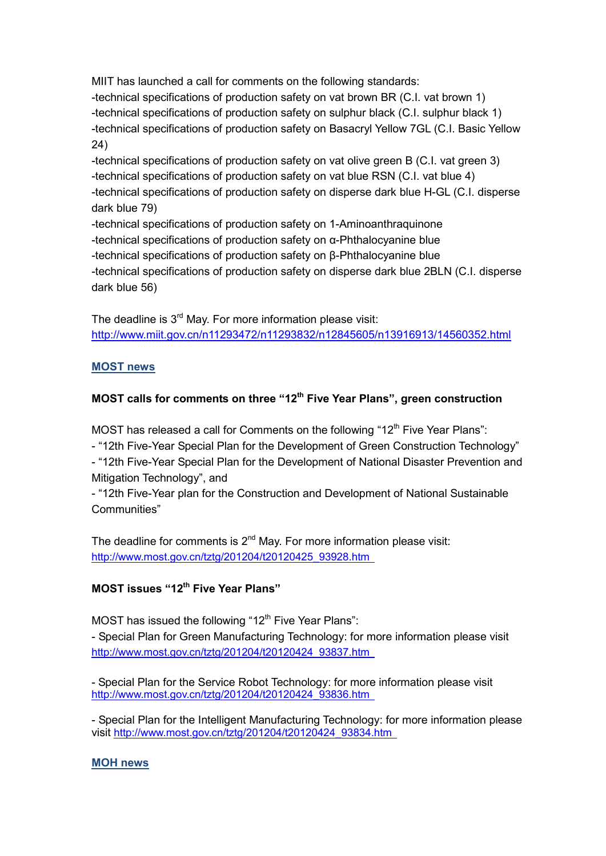MIIT has launched a call for comments on the following standards: -technical specifications of production safety on vat brown BR (C.I. vat brown 1) -technical specifications of production safety on sulphur black (C.I. sulphur black 1) -technical specifications of production safety on Basacryl Yellow 7GL (C.I. Basic Yellow 24) -technical specifications of production safety on vat olive green B (C.I. vat green 3)

-technical specifications of production safety on vat blue RSN (C.I. vat blue 4) -technical specifications of production safety on disperse dark blue H-GL (C.I. disperse dark blue 79)

-technical specifications of production safety on 1-Aminoanthraquinone -technical specifications of production safety on α-Phthalocyanine blue -technical specifications of production safety on β-Phthalocyanine blue -technical specifications of production safety on disperse dark blue 2BLN (C.I. disperse dark blue 56)

The deadline is  $3<sup>rd</sup>$  May. For more information please visit: <http://www.miit.gov.cn/n11293472/n11293832/n12845605/n13916913/14560352.html>

## **MOST news**

# **MOST calls for comments on three "12th Five Year Plans", green construction**

MOST has released a call for Comments on the following " $12<sup>th</sup>$  Five Year Plans":

- "12th Five-Year Special Plan for the Development of Green Construction Technology"

- "12th Five-Year Special Plan for the Development of National Disaster Prevention and Mitigation Technology", and

- "12th Five-Year plan for the Construction and Development of National Sustainable Communities"

The deadline for comments is  $2^{nd}$  May. For more information please visit: [http://www.most.gov.cn/tztg/201204/t20120425\\_93928.htm](http://www.most.gov.cn/tztg/201204/t20120425_93928.htm) 

# **MOST issues "12th Five Year Plans"**

MOST has issued the following "12<sup>th</sup> Five Year Plans":

- Special Plan for Green Manufacturing Technology: for more information please visit [http://www.most.gov.cn/tztg/201204/t20120424\\_93837.htm](http://www.most.gov.cn/tztg/201204/t20120424_93837.htm) 

- Special Plan for the Service Robot Technology: for more information please visit [http://www.most.gov.cn/tztg/201204/t20120424\\_93836.htm](http://www.most.gov.cn/tztg/201204/t20120424_93836.htm) 

- Special Plan for the Intelligent Manufacturing Technology: for more information please visit [http://www.most.gov.cn/tztg/201204/t20120424\\_93834.htm](http://www.most.gov.cn/tztg/201204/t20120424_93834.htm) 

### **MOH news**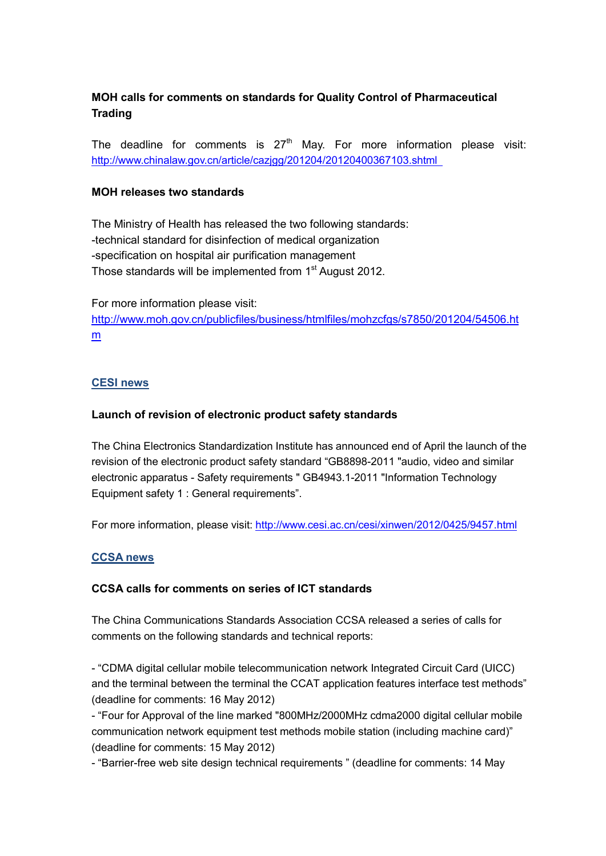## **MOH calls for comments on standards for Quality Control of Pharmaceutical Trading**

The deadline for comments is  $27<sup>th</sup>$  May. For more information please visit: <http://www.chinalaw.gov.cn/article/cazjgg/201204/20120400367103.shtml>

#### **MOH releases two standards**

The Ministry of Health has released the two following standards: -technical standard for disinfection of medical organization -specification on hospital air purification management Those standards will be implemented from 1<sup>st</sup> August 2012.

For more information please visit: [http://www.moh.gov.cn/publicfiles/business/htmlfiles/mohzcfgs/s7850/201204/54506.ht](http://www.moh.gov.cn/publicfiles/business/htmlfiles/mohzcfgs/s7850/201204/54506.htm) [m](http://www.moh.gov.cn/publicfiles/business/htmlfiles/mohzcfgs/s7850/201204/54506.htm)

#### **CESI news**

#### **Launch of revision of electronic product safety standards**

The China Electronics Standardization Institute has announced end of April the launch of the revision of the electronic product safety standard "GB8898-2011 "audio, video and similar electronic apparatus - Safety requirements " GB4943.1-2011 "Information Technology Equipment safety 1 : General requirements".

For more information, please visit:<http://www.cesi.ac.cn/cesi/xinwen/2012/0425/9457.html>

#### **CCSA news**

#### **CCSA calls for comments on series of ICT standards**

The China Communications Standards Association CCSA released a series of calls for comments on the following standards and technical reports:

- "CDMA digital cellular mobile telecommunication network Integrated Circuit Card (UICC) and the terminal between the terminal the CCAT application features interface test methods" (deadline for comments: 16 May 2012)

- "Four for Approval of the line marked "800MHz/2000MHz cdma2000 digital cellular mobile communication network equipment test methods mobile station (including machine card)" (deadline for comments: 15 May 2012)

- "Barrier-free web site design technical requirements " (deadline for comments: 14 May